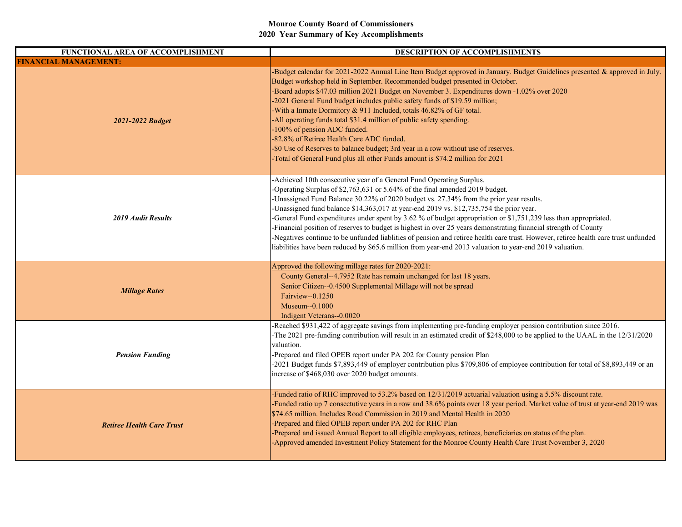| FUNCTIONAL AREA OF ACCOMPLISHMENT | DESCRIPTION OF ACCOMPLISHMENTS                                                                                                                                                                                                                                                                                                                                                                                                                                                                                                                                                                                                                                                                                                                                                                                                      |
|-----------------------------------|-------------------------------------------------------------------------------------------------------------------------------------------------------------------------------------------------------------------------------------------------------------------------------------------------------------------------------------------------------------------------------------------------------------------------------------------------------------------------------------------------------------------------------------------------------------------------------------------------------------------------------------------------------------------------------------------------------------------------------------------------------------------------------------------------------------------------------------|
| <b>FINANCIAL MANAGEMENT:</b>      |                                                                                                                                                                                                                                                                                                                                                                                                                                                                                                                                                                                                                                                                                                                                                                                                                                     |
| 2021-2022 Budget                  | -Budget calendar for $2021$ -2022 Annual Line Item Budget approved in January. Budget Guidelines presented & approved in July.<br>Budget workshop held in September. Recommended budget presented in October.<br>-Board adopts \$47.03 million 2021 Budget on November 3. Expenditures down -1.02% over 2020<br>-2021 General Fund budget includes public safety funds of \$19.59 million;<br>-With a Inmate Dormitory & 911 Included, totals 46.82% of GF total.<br>-All operating funds total \$31.4 million of public safety spending.<br>-100% of pension ADC funded.<br>-82.8% of Retiree Health Care ADC funded.<br>-\$0 Use of Reserves to balance budget; 3rd year in a row without use of reserves.<br>-Total of General Fund plus all other Funds amount is \$74.2 million for 2021                                       |
| <b>2019 Audit Results</b>         | -Achieved 10th consecutive year of a General Fund Operating Surplus.<br>-Operating Surplus of \$2,763,631 or 5.64% of the final amended 2019 budget.<br>-Unassigned Fund Balance 30.22% of 2020 budget vs. 27.34% from the prior year results.<br>-Unassigned fund balance \$14,363,017 at year-end 2019 vs. \$12,735,754 the prior year.<br>-General Fund expenditures under spent by 3.62 % of budget appropriation or \$1,751,239 less than appropriated.<br>-Financial position of reserves to budget is highest in over 25 years demonstrating financial strength of County<br>-Negatives continue to be unfunded liablities of pension and retiree health care trust. However, retiree health care trust unfunded<br>liabilities have been reduced by \$65.6 million from year-end 2013 valuation to year-end 2019 valuation. |
| <b>Millage Rates</b>              | Approved the following millage rates for 2020-2021:<br>County General--4.7952 Rate has remain unchanged for last 18 years.<br>Senior Citizen--0.4500 Supplemental Millage will not be spread<br>Fairview--0.1250<br>Museum--0.1000<br>Indigent Veterans--0.0020                                                                                                                                                                                                                                                                                                                                                                                                                                                                                                                                                                     |
| <b>Pension Funding</b>            | -Reached \$931,422 of aggregate savings from implementing pre-funding employer pension contribution since 2016.<br>-The 2021 pre-funding contribution will result in an estimated credit of \$248,000 to be applied to the UAAL in the 12/31/2020<br>valuation.<br>-Prepared and filed OPEB report under PA 202 for County pension Plan<br>-2021 Budget funds \$7,893,449 of employer contribution plus \$709,806 of employee contribution for total of \$8,893,449 or an<br>increase of \$468,030 over 2020 budget amounts.                                                                                                                                                                                                                                                                                                        |
| <b>Retiree Health Care Trust</b>  | -Funded ratio of RHC improved to 53.2% based on 12/31/2019 actuarial valuation using a 5.5% discount rate.<br>-Funded ratio up 7 consectutive years in a row and 38.6% points over 18 year period. Market value of trust at year-end 2019 was<br>\$74.65 million. Includes Road Commission in 2019 and Mental Health in 2020<br>-Prepared and filed OPEB report under PA 202 for RHC Plan<br>-Prepared and issued Annual Report to all eligible employees, retirees, beneficiaries on status of the plan.<br>-Approved amended Investment Policy Statement for the Monroe County Health Care Trust November 3, 2020                                                                                                                                                                                                                 |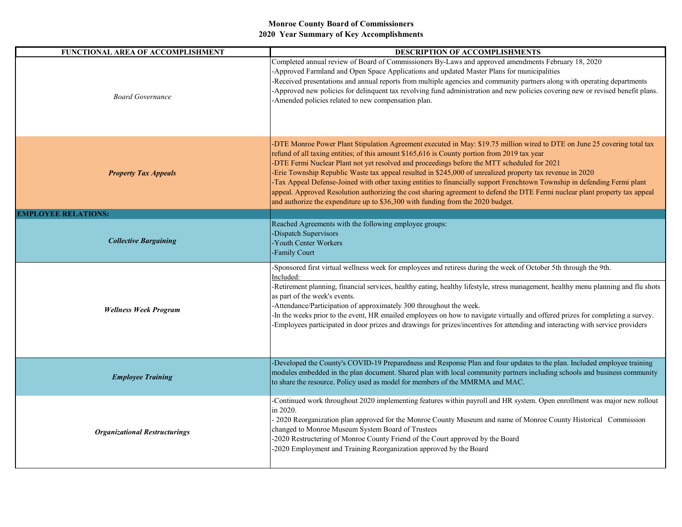| <b>FUNCTIONAL AREA OF ACCOMPLISHMENT</b> | <b>DESCRIPTION OF ACCOMPLISHMENTS</b>                                                                                                                                                                                                                                                                                                                                                                                                                                                                                                                                                                                                                                                                                                                                                |
|------------------------------------------|--------------------------------------------------------------------------------------------------------------------------------------------------------------------------------------------------------------------------------------------------------------------------------------------------------------------------------------------------------------------------------------------------------------------------------------------------------------------------------------------------------------------------------------------------------------------------------------------------------------------------------------------------------------------------------------------------------------------------------------------------------------------------------------|
| <b>Board Governance</b>                  | Completed annual review of Board of Commissioners By-Laws and approved amendments February 18, 2020<br>-Approved Farmland and Open Space Applications and updated Master Plans for municipalities<br>-Received presentations and annual reports from multiple agencies and community partners along with operating departments<br>-Approved new policies for delinquent tax revolving fund administration and new policies covering new or revised benefit plans.<br>-Amended policies related to new compensation plan.                                                                                                                                                                                                                                                             |
| <b>Property Tax Appeals</b>              | -DTE Monroe Power Plant Stipulation Agreement executed in May: \$19.75 million wired to DTE on June 25 covering total tax<br>refund of all taxing entities; of this amount \$165,616 is County portion from 2019 tax year<br>-DTE Fermi Nuclear Plant not yet resolved and proceedings before the MTT scheduled for 2021<br>Erie Township Republic Waste tax appeal resulted in \$245,000 of unrealized property tax revenue in 2020<br>-Tax Appeal Defense-Joined with other taxing entities to financially support Frenchtown Township in defending Fermi plant<br>appeal. Approved Resolution authorizing the cost sharing agreement to defend the DTE Fermi nuclear plant property tax appeal<br>and authorize the expenditure up to \$36,300 with funding from the 2020 budget. |
| <b>EMPLOYEE RELATIONS:</b>               |                                                                                                                                                                                                                                                                                                                                                                                                                                                                                                                                                                                                                                                                                                                                                                                      |
| <b>Collective Bargaining</b>             | Reached Agreements with the following employee groups:<br>-Dispatch Supervisors<br>-Youth Center Workers<br>-Family Court                                                                                                                                                                                                                                                                                                                                                                                                                                                                                                                                                                                                                                                            |
| <b>Wellness Week Program</b>             | -Sponsored first virtual wellness week for employees and retiress during the week of October 5th through the 9th.<br>Included:<br>-Retirement planning, financial services, healthy eating, healthy lifestyle, stress management, healthy menu planning and flu shots<br>as part of the week's events.<br>-Attendance/Participation of approximately 300 throughout the week.<br>-In the weeks prior to the event, HR emailed employees on how to navigate virtually and offered prizes for completing a survey.<br>-Employees participated in door prizes and drawings for prizes/incentives for attending and interacting with service providers                                                                                                                                   |
| <b>Employee Training</b>                 | -Developed the County's COVID-19 Preparedness and Response Plan and four updates to the plan. Included employee training<br>modules embedded in the plan document. Shared plan with local community partners including schools and business community<br>to share the resource. Policy used as model for members of the MMRMA and MAC.                                                                                                                                                                                                                                                                                                                                                                                                                                               |
| <b>Organizational Restructurings</b>     | -Continued work throughout 2020 implementing features within payroll and HR system. Open enrollment was major new rollout<br>in 2020.<br>- 2020 Reorganization plan approved for the Monroe County Museum and name of Monroe County Historical Commission<br>changed to Monroe Museum System Board of Trustees<br>-2020 Restructering of Monroe County Friend of the Court approved by the Board<br>-2020 Employment and Training Reorganization approved by the Board                                                                                                                                                                                                                                                                                                               |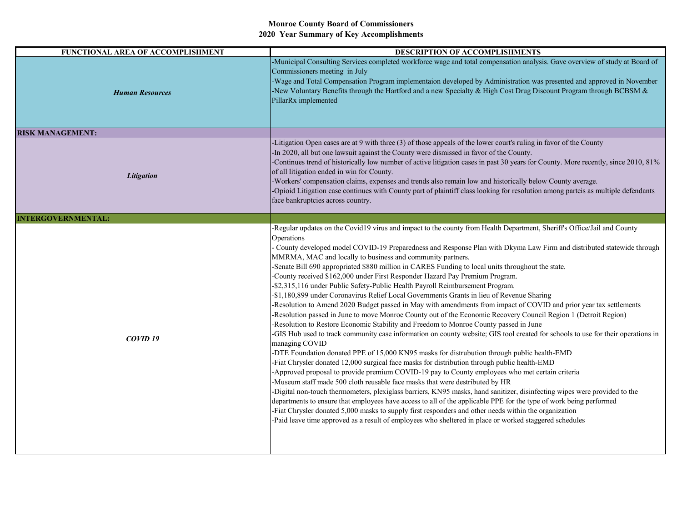| FUNCTIONAL AREA OF ACCOMPLISHMENT | DESCRIPTION OF ACCOMPLISHMENTS                                                                                                                                                                                                                                                                                                                                                                                                                                                                                                                                                                                                                                                                                                                                                                                                                                                                                                                                                                                                                                                                                                                                                                                                                                                                                                                                                                                                                                                                                                                                                                                                                                                                                                                                                                                                                                                                                                                                                                                                                  |
|-----------------------------------|-------------------------------------------------------------------------------------------------------------------------------------------------------------------------------------------------------------------------------------------------------------------------------------------------------------------------------------------------------------------------------------------------------------------------------------------------------------------------------------------------------------------------------------------------------------------------------------------------------------------------------------------------------------------------------------------------------------------------------------------------------------------------------------------------------------------------------------------------------------------------------------------------------------------------------------------------------------------------------------------------------------------------------------------------------------------------------------------------------------------------------------------------------------------------------------------------------------------------------------------------------------------------------------------------------------------------------------------------------------------------------------------------------------------------------------------------------------------------------------------------------------------------------------------------------------------------------------------------------------------------------------------------------------------------------------------------------------------------------------------------------------------------------------------------------------------------------------------------------------------------------------------------------------------------------------------------------------------------------------------------------------------------------------------------|
| <b>Human Resources</b>            | -Municipal Consulting Services completed workforce wage and total compensation analysis. Gave overview of study at Board of<br>Commissioners meeting in July<br>-Wage and Total Compensation Program implementaion developed by Administration was presented and approved in November<br>-New Voluntary Benefits through the Hartford and a new Specialty & High Cost Drug Discount Program through BCBSM &<br>PillarRx implemented                                                                                                                                                                                                                                                                                                                                                                                                                                                                                                                                                                                                                                                                                                                                                                                                                                                                                                                                                                                                                                                                                                                                                                                                                                                                                                                                                                                                                                                                                                                                                                                                             |
| <b>RISK MANAGEMENT:</b>           |                                                                                                                                                                                                                                                                                                                                                                                                                                                                                                                                                                                                                                                                                                                                                                                                                                                                                                                                                                                                                                                                                                                                                                                                                                                                                                                                                                                                                                                                                                                                                                                                                                                                                                                                                                                                                                                                                                                                                                                                                                                 |
| Litigation                        | -Litigation Open cases are at 9 with three (3) of those appeals of the lower court's ruling in favor of the County<br>-In 2020, all but one lawsuit against the County were dismissed in favor of the County.<br>-Continues trend of historically low number of active litigation cases in past 30 years for County. More recently, since 2010, 81%<br>of all litigation ended in win for County.<br>-Workers' compensation claims, expenses and trends also remain low and historically below County average.<br>-Opioid Litigation case continues with County part of plaintiff class looking for resolution among parteis as multiple defendants<br>face bankruptcies across country.                                                                                                                                                                                                                                                                                                                                                                                                                                                                                                                                                                                                                                                                                                                                                                                                                                                                                                                                                                                                                                                                                                                                                                                                                                                                                                                                                        |
| <b>INTERGOVERNMENTAL:</b>         |                                                                                                                                                                                                                                                                                                                                                                                                                                                                                                                                                                                                                                                                                                                                                                                                                                                                                                                                                                                                                                                                                                                                                                                                                                                                                                                                                                                                                                                                                                                                                                                                                                                                                                                                                                                                                                                                                                                                                                                                                                                 |
| COVID <sub>19</sub>               | -Regular updates on the Covid19 virus and impact to the county from Health Department, Sheriff's Office/Jail and County<br>Operations<br>County developed model COVID-19 Preparedness and Response Plan with Dkyma Law Firm and distributed statewide through<br>MMRMA, MAC and locally to business and community partners.<br>-Senate Bill 690 appropriated \$880 million in CARES Funding to local units throughout the state.<br>-County received \$162,000 under First Responder Hazard Pay Premium Program.<br>-\$2,315,116 under Public Safety-Public Health Payroll Reimbursement Program.<br>-\$1,180,899 under Coronavirus Relief Local Governments Grants in lieu of Revenue Sharing<br>-Resolution to Amend 2020 Budget passed in May with amendments from impact of COVID and prior year tax settlements<br>-Resolution passed in June to move Monroe County out of the Economic Recovery Council Region 1 (Detroit Region)<br>-Resolution to Restore Economic Stability and Freedom to Monroe County passed in June<br>-GIS Hub used to track community case information on county website; GIS tool created for schools to use for their operations in<br>managing COVID<br>-DTE Foundation donated PPE of 15,000 KN95 masks for distrubution through public health-EMD<br>-Fiat Chrysler donated 12,000 surgical face masks for distribution through public health-EMD<br>-Approved proposal to provide premium COVID-19 pay to County employees who met certain criteria<br>-Museum staff made 500 cloth reusable face masks that were destributed by HR<br>-Digital non-touch thermometers, plexiglass barriers, KN95 masks, hand sanitizer, disinfecting wipes were provided to the<br>departments to ensure that employees have access to all of the applicable PPE for the type of work being performed<br>-Fiat Chrysler donated 5,000 masks to supply first responders and other needs within the organization<br>-Paid leave time approved as a result of employees who sheltered in place or worked staggered schedules |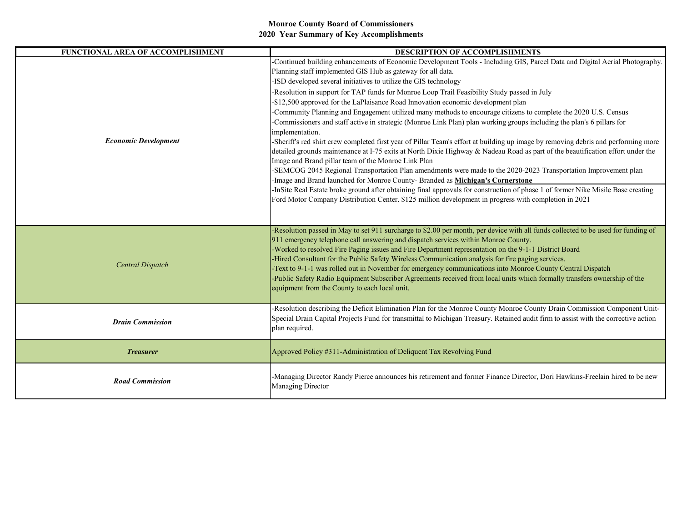| FUNCTIONAL AREA OF ACCOMPLISHMENT | DESCRIPTION OF ACCOMPLISHMENTS                                                                                                                                                                                                                                                                                                                                                                                                                                                                                                                                                                                                                                                                                                                                                                                                                                                                                                                                                                                                                                                                                                                                                                                                                                                                                                                                                                                                                                                                    |
|-----------------------------------|---------------------------------------------------------------------------------------------------------------------------------------------------------------------------------------------------------------------------------------------------------------------------------------------------------------------------------------------------------------------------------------------------------------------------------------------------------------------------------------------------------------------------------------------------------------------------------------------------------------------------------------------------------------------------------------------------------------------------------------------------------------------------------------------------------------------------------------------------------------------------------------------------------------------------------------------------------------------------------------------------------------------------------------------------------------------------------------------------------------------------------------------------------------------------------------------------------------------------------------------------------------------------------------------------------------------------------------------------------------------------------------------------------------------------------------------------------------------------------------------------|
| <b>Economic Development</b>       | Continued building enhancements of Economic Development Tools - Including GIS, Parcel Data and Digital Aerial Photography.<br>Planning staff implemented GIS Hub as gateway for all data.<br>-ISD developed several initiatives to utilize the GIS technology<br>-Resolution in support for TAP funds for Monroe Loop Trail Feasibility Study passed in July<br>-\$12,500 approved for the LaPlaisance Road Innovation economic development plan<br>-Community Planning and Engagement utilized many methods to encourage citizens to complete the 2020 U.S. Census<br>-Commissioners and staff active in strategic (Monroe Link Plan) plan working groups including the plan's 6 pillars for<br>implementation.<br>-Sheriff's red shirt crew completed first year of Pillar Team's effort at building up image by removing debris and performing more<br>detailed grounds maintenance at I-75 exits at North Dixie Highway & Nadeau Road as part of the beautification effort under the<br>Image and Brand pillar team of the Monroe Link Plan<br>-SEMCOG 2045 Regional Transportation Plan amendments were made to the 2020-2023 Transportation Improvement plan<br>-Image and Brand launched for Monroe County- Branded as Michigan's Cornerstone<br>-InSite Real Estate broke ground after obtaining final approvals for construction of phase 1 of former Nike Misile Base creating<br>Ford Motor Company Distribution Center. \$125 million development in progress with completion in 2021 |
| Central Dispatch                  | -Resolution passed in May to set 911 surcharge to \$2.00 per month, per device with all funds collected to be used for funding of<br>911 emergency telephone call answering and dispatch services within Monroe County.<br>-Worked to resolved Fire Paging issues and Fire Department representation on the 9-1-1 District Board<br>-Hired Consultant for the Public Safety Wireless Communication analysis for fire paging services.<br>-Text to 9-1-1 was rolled out in November for emergency communications into Monroe County Central Dispatch<br>-Public Safety Radio Equipment Subscriber Agreements received from local units which formally transfers ownership of the<br>equipment from the County to each local unit.                                                                                                                                                                                                                                                                                                                                                                                                                                                                                                                                                                                                                                                                                                                                                                  |
| <b>Drain Commission</b>           | -Resolution describing the Deficit Elimination Plan for the Monroe County Monroe County Drain Commission Component Unit-<br>Special Drain Capital Projects Fund for transmittal to Michigan Treasury. Retained audit firm to assist with the corrective action<br>plan required.                                                                                                                                                                                                                                                                                                                                                                                                                                                                                                                                                                                                                                                                                                                                                                                                                                                                                                                                                                                                                                                                                                                                                                                                                  |
| <b>Treasurer</b>                  | Approved Policy #311-Administration of Deliquent Tax Revolving Fund                                                                                                                                                                                                                                                                                                                                                                                                                                                                                                                                                                                                                                                                                                                                                                                                                                                                                                                                                                                                                                                                                                                                                                                                                                                                                                                                                                                                                               |
| <b>Road Commission</b>            | -Managing Director Randy Pierce announces his retirement and former Finance Director, Dori Hawkins-Freelain hired to be new<br>Managing Director                                                                                                                                                                                                                                                                                                                                                                                                                                                                                                                                                                                                                                                                                                                                                                                                                                                                                                                                                                                                                                                                                                                                                                                                                                                                                                                                                  |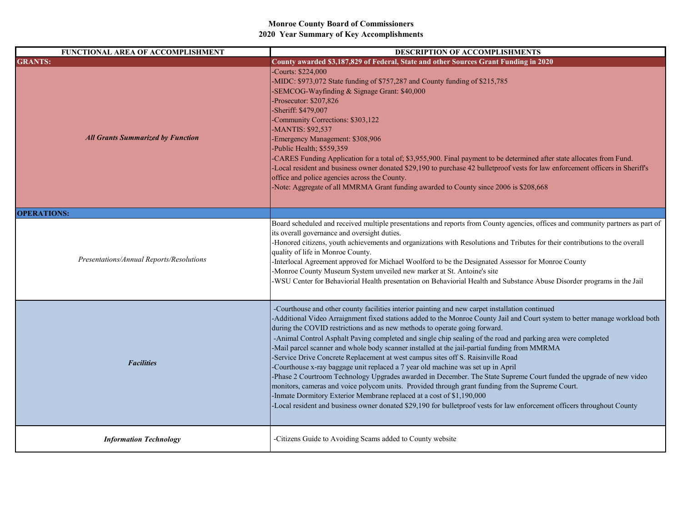| FUNCTIONAL AREA OF ACCOMPLISHMENT        | DESCRIPTION OF ACCOMPLISHMENTS                                                                                                                                                                                                                                                                                                                                                                                                                                                                                                                                                                                                                                                                                                                                                                                                                                                                                                                                                                                                                                                                                                        |
|------------------------------------------|---------------------------------------------------------------------------------------------------------------------------------------------------------------------------------------------------------------------------------------------------------------------------------------------------------------------------------------------------------------------------------------------------------------------------------------------------------------------------------------------------------------------------------------------------------------------------------------------------------------------------------------------------------------------------------------------------------------------------------------------------------------------------------------------------------------------------------------------------------------------------------------------------------------------------------------------------------------------------------------------------------------------------------------------------------------------------------------------------------------------------------------|
| <b>GRANTS:</b>                           | County awarded \$3,187,829 of Federal, State and other Sources Grant Funding in 2020                                                                                                                                                                                                                                                                                                                                                                                                                                                                                                                                                                                                                                                                                                                                                                                                                                                                                                                                                                                                                                                  |
| <b>All Grants Summarized by Function</b> | -Courts: \$224,000<br>-MIDC: \$973,072 State funding of \$757,287 and County funding of \$215,785<br>-SEMCOG-Wayfinding & Signage Grant: \$40,000<br>Prosecutor: \$207,826<br>Sheriff: \$479,007<br>-Community Corrections: \$303,122<br>-MANTIS: \$92,537<br>Emergency Management: \$308,906<br>Public Health; \$559,359<br>-CARES Funding Application for a total of; \$3,955,900. Final payment to be determined after state allocates from Fund.<br>-Local resident and business owner donated \$29,190 to purchase 42 bulletproof vests for law enforcement officers in Sheriff's<br>office and police agencies across the County.<br>-Note: Aggregate of all MMRMA Grant funding awarded to County since 2006 is \$208,668                                                                                                                                                                                                                                                                                                                                                                                                      |
| <b>OPERATIONS:</b>                       |                                                                                                                                                                                                                                                                                                                                                                                                                                                                                                                                                                                                                                                                                                                                                                                                                                                                                                                                                                                                                                                                                                                                       |
| Presentations/Annual Reports/Resolutions | Board scheduled and received multiple presentations and reports from County agencies, offices and community partners as part of<br>its overall governance and oversight duties.<br>-Honored citizens, youth achievements and organizations with Resolutions and Tributes for their contributions to the overall<br>quality of life in Monroe County.<br>Interlocal Agreement approved for Michael Woolford to be the Designated Assessor for Monroe County<br>-Monroe County Museum System unveiled new marker at St. Antoine's site<br>WSU Center for Behaviorial Health presentation on Behaviorial Health and Substance Abuse Disorder programs in the Jail                                                                                                                                                                                                                                                                                                                                                                                                                                                                        |
| <b>Facilities</b>                        | -Courthouse and other county facilities interior painting and new carpet installation continued<br>-Additional Video Arraignment fixed stations added to the Monroe County Jail and Court system to better manage workload both<br>during the COVID restrictions and as new methods to operate going forward.<br>-Animal Control Asphalt Paving completed and single chip sealing of the road and parking area were completed<br>-Mail parcel scanner and whole body scanner installed at the jail-partial funding from MMRMA<br>-Service Drive Concrete Replacement at west campus sites off S. Raisinville Road<br>-Courthouse x-ray baggage unit replaced a 7 year old machine was set up in April<br>-Phase 2 Courtroom Technology Upgrades awarded in December. The State Supreme Court funded the upgrade of new video<br>monitors, cameras and voice polycom units. Provided through grant funding from the Supreme Court.<br>Inmate Dormitory Exterior Membrane replaced at a cost of \$1,190,000<br>-Local resident and business owner donated \$29,190 for bulletproof vests for law enforcement officers throughout County |
| <b>Information Technology</b>            | -Citizens Guide to Avoiding Scams added to County website                                                                                                                                                                                                                                                                                                                                                                                                                                                                                                                                                                                                                                                                                                                                                                                                                                                                                                                                                                                                                                                                             |